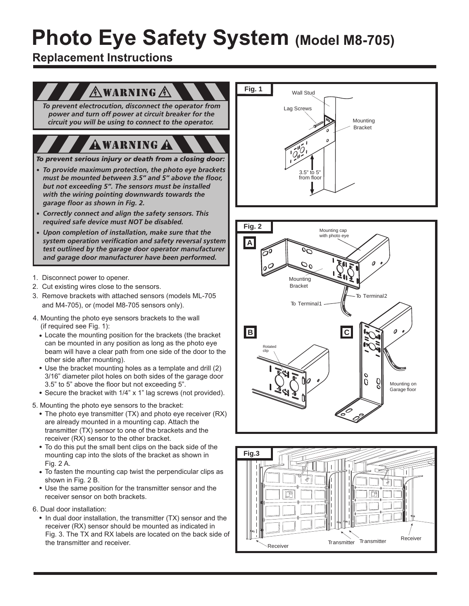## **Photo Eye Safety System (Model M8-705)**

**Replacement Instructions**

#### $\mathbb A$  warning  $\mathbb A$

*To prevent electrocution, disconnect the operator from power and turn off power at circuit breaker for the circuit you will be using to connect to the operator.*

## **AWARNING A**

*To prevent serious injury or death from a closing door:* 

- *To provide maximum protection, the photo eye brackets must be mounted between 3.5" and 5" above the floor, but not exceeding 5". The sensors must be installed with the wiring pointing downwards towards the garage floor as shown in Fig. 2.*
- *Correctly connect and align the safety sensors. This required safe device must NOT be disabled.*
- *Upon completion of installation, make sure that the system operation verification and safety reversal system test outlined by the garage door operator manufacturer and garage door manufacturer have been performed.*
- 1. Disconnect power to opener.
- 2. Cut existing wires close to the sensors.
- 3. Remove brackets with attached sensors (models ML-705 and M4-705), or (model M8-705 sensors only).
- 4. Mounting the photo eye sensors brackets to the wall (if required see Fig. 1):
	- Locate the mounting position for the brackets (the bracket can be mounted in any position as long as the photo eye beam will have a clear path from one side of the door to the other side after mounting).
	- Use the bracket mounting holes as a template and drill (2) 3/16" diameter pilot holes on both sides of the garage door 3.5" to 5" above the floor but not exceeding 5".
	- Secure the bracket with 1/4" x 1" lag screws (not provided).
- 5. Mounting the photo eye sensors to the bracket:
	- The photo eye transmitter (TX) and photo eye receiver (RX) are already mounted in a mounting cap. Attach the transmitter (TX) sensor to one of the brackets and the receiver (RX) sensor to the other bracket.
	- To do this put the small bent clips on the back side of the mounting cap into the slots of the bracket as shown in Fig. 2 A.
	- To fasten the mounting cap twist the perpendicular clips as shown in Fig. 2 B.
	- Use the same position for the transmitter sensor and the receiver sensor on both brackets.
- 6. Dual door installation:
	- In dual door installation, the transmitter (TX) sensor and the receiver (RX) sensor should be mounted as indicated in Fig. 3. The TX and RX labels are located on the back side of the transmitter and receiver.